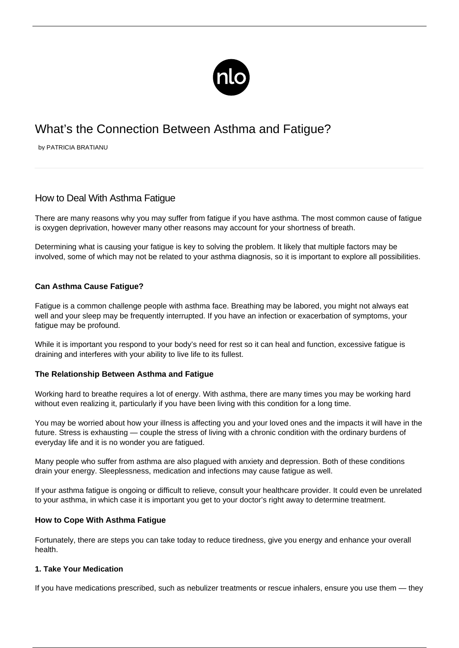

# What's the Connection Between Asthma and Fatigue?

by PATRICIA BRATIANU

# How to Deal With Asthma Fatigue

There are many reasons why you may suffer from fatigue if you have asthma. The most common cause of fatigue is oxygen deprivation, however many other reasons may account for your shortness of breath.

Determining what is causing your fatigue is key to solving the problem. It likely that multiple factors may be involved, some of which may not be related to your asthma diagnosis, so it is important to explore all possibilities.

# **Can Asthma Cause Fatigue?**

Fatigue is a common challenge people with asthma face. Breathing may be labored, you might not always eat well and your sleep may be frequently interrupted. If you have an infection or exacerbation of symptoms, your fatigue may be profound.

While it is important you respond to your body's need for rest so it can heal and function, excessive fatigue is draining and interferes with your ability to live life to its fullest.

#### **The Relationship Between Asthma and Fatigue**

Working hard to breathe requires a lot of energy. With asthma, there are many times you may be working hard without even realizing it, particularly if you have been living with this condition for a long time.

You may be worried about how your illness is affecting you and your loved ones and the impacts it will have in the future. Stress is exhausting — couple the stress of living with a chronic condition with the ordinary burdens of everyday life and it is no wonder you are fatigued.

Many people who suffer from asthma are also plagued with anxiety and depression. Both of these conditions drain your energy. Sleeplessness, medication and infections may cause fatigue as well.

If your asthma fatigue is ongoing or difficult to relieve, consult your healthcare provider. It could even be unrelated to your asthma, in which case it is important you get to your doctor's right away to determine treatment.

#### **How to Cope With Asthma Fatigue**

Fortunately, there are steps you can take today to reduce tiredness, give you energy and enhance your overall health.

## **1. Take Your Medication**

If you have medications prescribed, such as nebulizer treatments or [rescue inhalers,](/asthma-meds/) ensure you use them — they